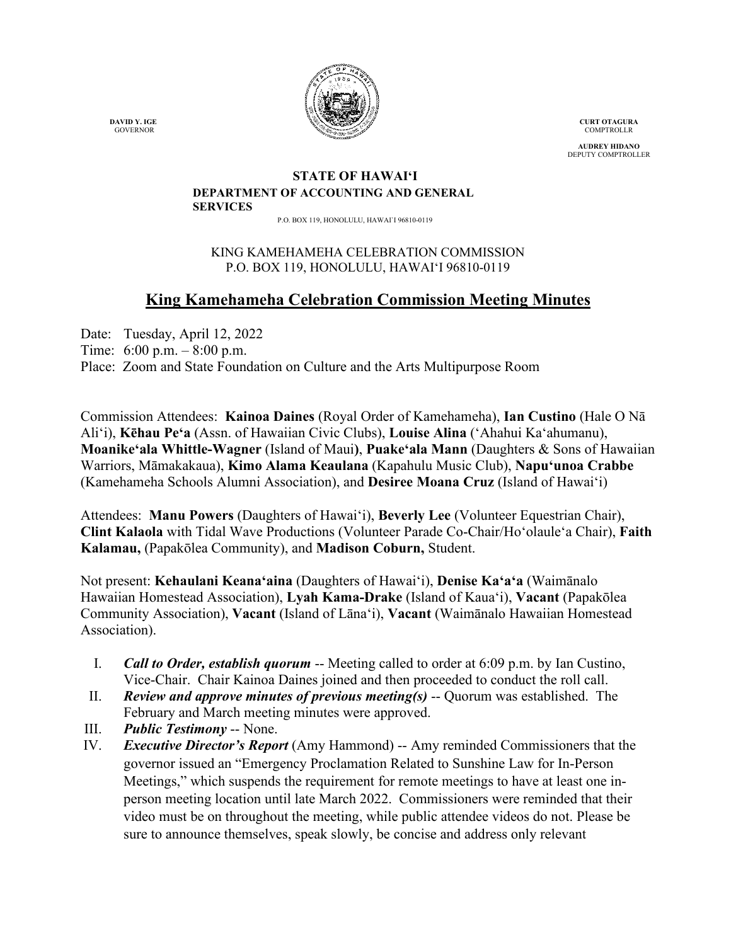

**CURT OTAGURA COMPTROLLR** 

**AUDREY HIDANO** DEPUTY COMPTROLLER

#### **STATE OF HAWAI'I DEPARTMENT OF ACCOUNTING AND GENERAL SERVICES**

P.O. BOX 119, HONOLULU, HAWAI`I 96810-0119

## KING KAMEHAMEHA CELEBRATION COMMISSION P.O. BOX 119, HONOLULU, HAWAIʻI 96810-0119

# **King Kamehameha Celebration Commission Meeting Minutes**

Date: Tuesday, April 12, 2022 Time: 6:00 p.m. – 8:00 p.m. Place: Zoom and State Foundation on Culture and the Arts Multipurpose Room

Commission Attendees: **Kainoa Daines** (Royal Order of Kamehameha), **Ian Custino** (Hale O Nā Ali'i), **Kēhau Pe'a** (Assn. of Hawaiian Civic Clubs), **Louise Alina** ('Ahahui Kaʻahumanu), **Moanike'ala Whittle-Wagner** (Island of Maui**)**, **Puake'ala Mann** (Daughters & Sons of Hawaiian Warriors, Māmakakaua), **Kimo Alama Keaulana** (Kapahulu Music Club), **Napuʻunoa Crabbe** (Kamehameha Schools Alumni Association), and **Desiree Moana Cruz** (Island of Hawai'i)

Attendees: **Manu Powers** (Daughters of Hawaiʻi), **Beverly Lee** (Volunteer Equestrian Chair), **Clint Kalaola** with Tidal Wave Productions (Volunteer Parade Co-Chair/Ho'olaule'a Chair), **Faith Kalamau,** (Papakōlea Community), and **Madison Coburn,** Student.

Not present: **Kehaulani Keana'aina** (Daughters of Hawai'i), **Denise Kaʻaʻa** (Waimānalo Hawaiian Homestead Association), **Lyah Kama-Drake** (Island of Kaua'i), **Vacant** (Papakōlea Community Association), **Vacant** (Island of Lāna'i), **Vacant** (Waimānalo Hawaiian Homestead Association).

- I. *Call to Order, establish quorum* -- Meeting called to order at 6:09 p.m. by Ian Custino, Vice-Chair. Chair Kainoa Daines joined and then proceeded to conduct the roll call.
- II. *Review and approve minutes of previous meeting(s)* -- Quorum was established. The February and March meeting minutes were approved.
- III. *Public Testimony* -- None.
- IV. *Executive Director's Report* (Amy Hammond) -- Amy reminded Commissioners that the governor issued an "Emergency Proclamation Related to Sunshine Law for In-Person Meetings," which suspends the requirement for remote meetings to have at least one inperson meeting location until late March 2022. Commissioners were reminded that their video must be on throughout the meeting, while public attendee videos do not. Please be sure to announce themselves, speak slowly, be concise and address only relevant

 **DAVID Y. IGE** GOVERNOR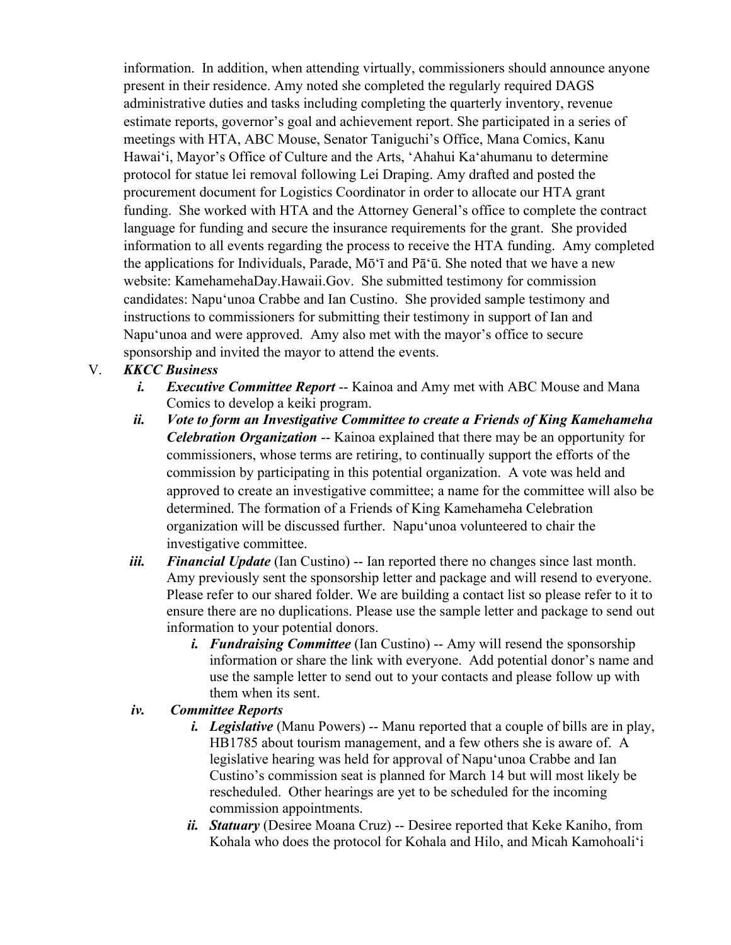information. In addition, when attending virtually, commissioners should announce anyone present in their residence. Amy noted she completed the regularly required DAGS administrative duties and tasks including completing the quarterly inventory, revenue estimate reports, governor's goal and achievement report. She participated in a series of meetings with HTA, ABC Mouse, Senator Taniguchi's Office, Mana Comics, Kanu Hawaiʻi, Mayor's Office of Culture and the Arts, 'Ahahui Kaʻahumanu to determine protocol for statue lei removal following Lei Draping. Amy drafted and posted the procurement document for Logistics Coordinator in order to allocate our HTA grant funding. She worked with HTA and the Attorney General's office to complete the contract language for funding and secure the insurance requirements for the grant. She provided information to all events regarding the process to receive the HTA funding. Amy completed the applications for Individuals, Parade, Mōʻī and Pāʻū. She noted that we have a new website: KamehamehaDay.Hawaii.Gov. She submitted testimony for commission candidates: Napuʻunoa Crabbe and Ian Custino. She provided sample testimony and instructions to commissioners for submitting their testimony in support of Ian and Napuʻunoa and were approved. Amy also met with the mayor's office to secure sponsorship and invited the mayor to attend the events.

# V. *KKCC Business*

- *i. Executive Committee Report* -- Kainoa and Amy met with ABC Mouse and Mana Comics to develop a keiki program.
- *ii. Vote to form an Investigative Committee to create a Friends of King Kamehameha Celebration Organization* -- Kainoa explained that there may be an opportunity for commissioners, whose terms are retiring, to continually support the efforts of the commission by participating in this potential organization. A vote was held and approved to create an investigative committee; a name for the committee will also be determined. The formation of a Friends of King Kamehameha Celebration organization will be discussed further. Napuʻunoa volunteered to chair the investigative committee.
- *iii. Financial Update* (Ian Custino) -- Ian reported there no changes since last month. Amy previously sent the sponsorship letter and package and will resend to everyone. Please refer to our shared folder. We are building a contact list so please refer to it to ensure there are no duplications. Please use the sample letter and package to send out information to your potential donors.
	- *i. Fundraising Committee* (Ian Custino) -- Amy will resend the sponsorship information or share the link with everyone. Add potential donor's name and use the sample letter to send out to your contacts and please follow up with them when its sent.

### *iv. Committee Reports*

- *i. Legislative* (Manu Powers) -- Manu reported that a couple of bills are in play, HB1785 about tourism management, and a few others she is aware of. A legislative hearing was held for approval of Napuʻunoa Crabbe and Ian Custino's commission seat is planned for March 14 but will most likely be rescheduled. Other hearings are yet to be scheduled for the incoming commission appointments.
- *ii. Statuary* (Desiree Moana Cruz) -- Desiree reported that Keke Kaniho, from Kohala who does the protocol for Kohala and Hilo, and Micah Kamohoaliʻi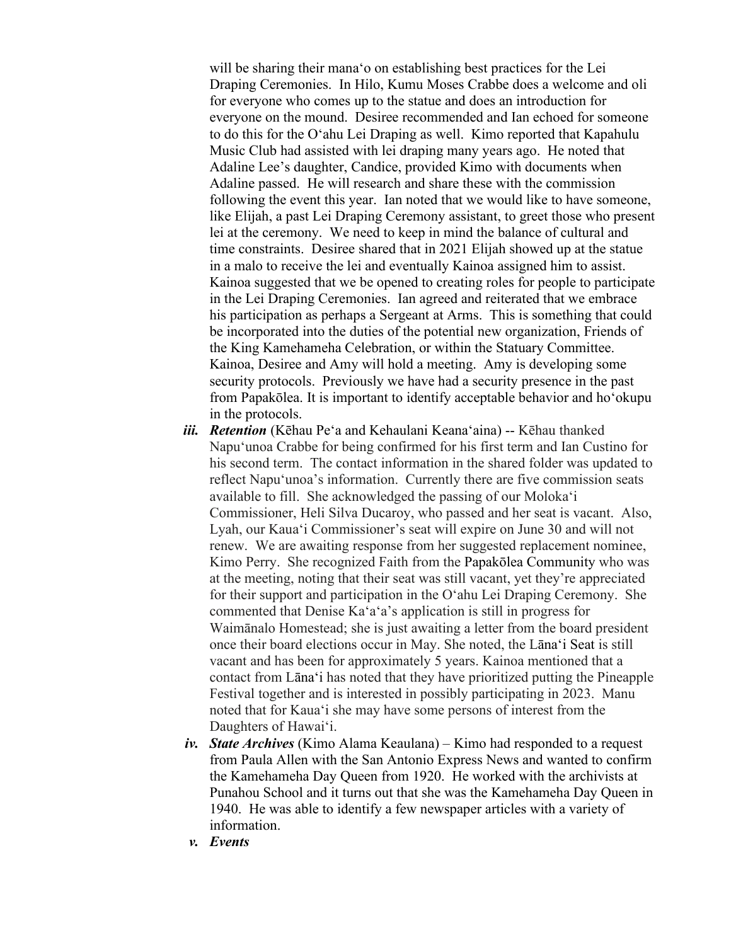will be sharing their manaʻo on establishing best practices for the Lei Draping Ceremonies. In Hilo, Kumu Moses Crabbe does a welcome and oli for everyone who comes up to the statue and does an introduction for everyone on the mound. Desiree recommended and Ian echoed for someone to do this for the Oʻahu Lei Draping as well. Kimo reported that Kapahulu Music Club had assisted with lei draping many years ago. He noted that Adaline Lee's daughter, Candice, provided Kimo with documents when Adaline passed. He will research and share these with the commission following the event this year. Ian noted that we would like to have someone, like Elijah, a past Lei Draping Ceremony assistant, to greet those who present lei at the ceremony. We need to keep in mind the balance of cultural and time constraints. Desiree shared that in 2021 Elijah showed up at the statue in a malo to receive the lei and eventually Kainoa assigned him to assist. Kainoa suggested that we be opened to creating roles for people to participate in the Lei Draping Ceremonies. Ian agreed and reiterated that we embrace his participation as perhaps a Sergeant at Arms. This is something that could be incorporated into the duties of the potential new organization, Friends of the King Kamehameha Celebration, or within the Statuary Committee. Kainoa, Desiree and Amy will hold a meeting. Amy is developing some security protocols. Previously we have had a security presence in the past from Papakōlea. It is important to identify acceptable behavior and hoʻokupu in the protocols.

- *iii. Retention* (Kēhau Pe'a and Kehaulani Keanaʻaina) -- Kēhau thanked Napuʻunoa Crabbe for being confirmed for his first term and Ian Custino for his second term. The contact information in the shared folder was updated to reflect Napuʻunoa's information. Currently there are five commission seats available to fill. She acknowledged the passing of our Molokaʻi Commissioner, Heli Silva Ducaroy, who passed and her seat is vacant. Also, Lyah, our Kauaʻi Commissioner's seat will expire on June 30 and will not renew. We are awaiting response from her suggested replacement nominee, Kimo Perry. She recognized Faith from the Papakōlea Community who was at the meeting, noting that their seat was still vacant, yet they're appreciated for their support and participation in the Oʻahu Lei Draping Ceremony. She commented that Denise Kaʻaʻa's application is still in progress for Waimānalo Homestead; she is just awaiting a letter from the board president once their board elections occur in May. She noted, the Lānaʻi Seat is still vacant and has been for approximately 5 years. Kainoa mentioned that a contact from Lānaʻi has noted that they have prioritized putting the Pineapple Festival together and is interested in possibly participating in 2023. Manu noted that for Kauaʻi she may have some persons of interest from the Daughters of Hawaiʻi.
- *iv. State Archives* (Kimo Alama Keaulana) Kimo had responded to a request from Paula Allen with the San Antonio Express News and wanted to confirm the Kamehameha Day Queen from 1920. He worked with the archivists at Punahou School and it turns out that she was the Kamehameha Day Queen in 1940. He was able to identify a few newspaper articles with a variety of information.
- *v. Events*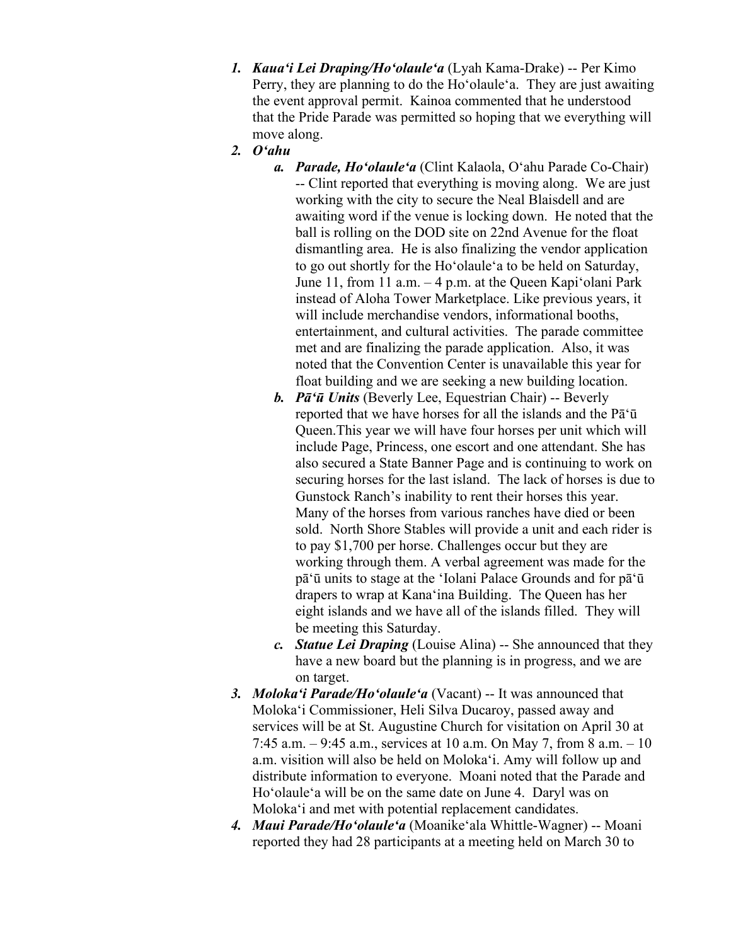- *1. Kauaʻi Lei Draping/Hoʻolauleʻa* (Lyah Kama-Drake) -- Per Kimo Perry, they are planning to do the Hoʻolauleʻa. They are just awaiting the event approval permit. Kainoa commented that he understood that the Pride Parade was permitted so hoping that we everything will move along.
- *2. Oʻahu*
	- *a. Parade, Hoʻolauleʻa* (Clint Kalaola, Oʻahu Parade Co-Chair) -- Clint reported that everything is moving along. We are just working with the city to secure the Neal Blaisdell and are awaiting word if the venue is locking down. He noted that the ball is rolling on the DOD site on 22nd Avenue for the float dismantling area. He is also finalizing the vendor application to go out shortly for the Hoʻolauleʻa to be held on Saturday, June 11, from 11 a.m. – 4 p.m. at the Queen Kapiʻolani Park instead of Aloha Tower Marketplace. Like previous years, it will include merchandise vendors, informational booths, entertainment, and cultural activities. The parade committee met and are finalizing the parade application. Also, it was noted that the Convention Center is unavailable this year for float building and we are seeking a new building location.
	- *b. Pāʻū Units* (Beverly Lee, Equestrian Chair) -- Beverly reported that we have horses for all the islands and the Pāʻū Queen.This year we will have four horses per unit which will include Page, Princess, one escort and one attendant. She has also secured a State Banner Page and is continuing to work on securing horses for the last island. The lack of horses is due to Gunstock Ranch's inability to rent their horses this year. Many of the horses from various ranches have died or been sold. North Shore Stables will provide a unit and each rider is to pay \$1,700 per horse. Challenges occur but they are working through them. A verbal agreement was made for the pāʻū units to stage at the ʻIolani Palace Grounds and for pāʻū drapers to wrap at Kanaʻina Building. The Queen has her eight islands and we have all of the islands filled. They will be meeting this Saturday.
	- *c. Statue Lei Draping* (Louise Alina) -- She announced that they have a new board but the planning is in progress, and we are on target.
- *3. Molokaʻi Parade/Hoʻolauleʻa* (Vacant) -- It was announced that Molokaʻi Commissioner, Heli Silva Ducaroy, passed away and services will be at St. Augustine Church for visitation on April 30 at 7:45 a.m. – 9:45 a.m., services at 10 a.m. On May 7, from 8 a.m. – 10 a.m. visition will also be held on Molokaʻi. Amy will follow up and distribute information to everyone. Moani noted that the Parade and Hoʻolauleʻa will be on the same date on June 4. Daryl was on Molokaʻi and met with potential replacement candidates.
- *4. Maui Parade/Hoʻolauleʻa* (Moanikeʻala Whittle-Wagner) -- Moani reported they had 28 participants at a meeting held on March 30 to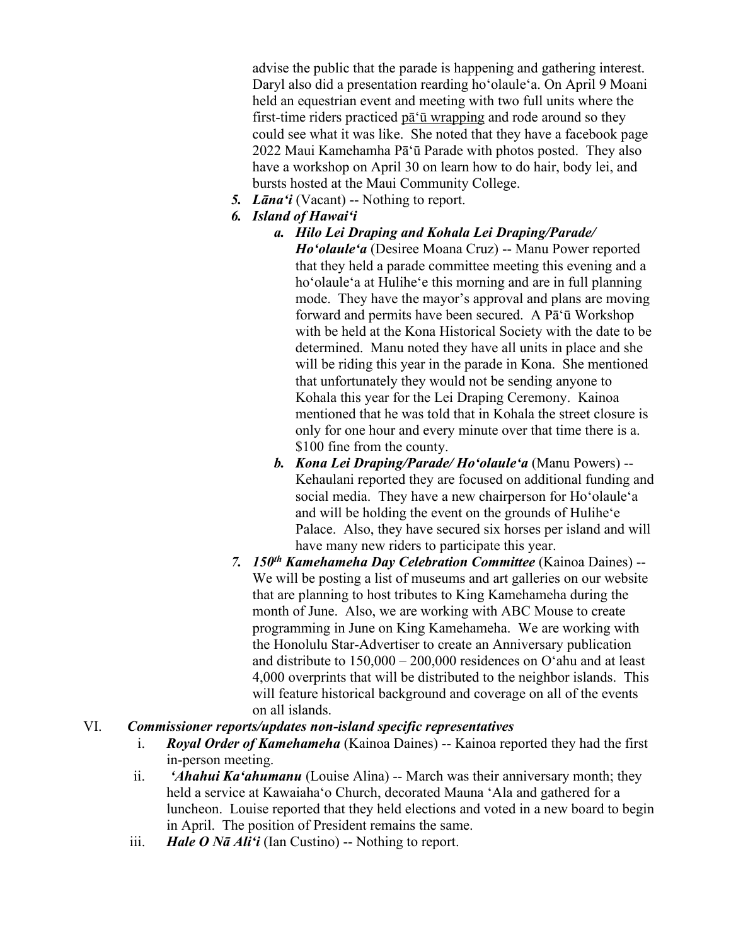advise the public that the parade is happening and gathering interest. Daryl also did a presentation rearding hoʻolauleʻa. On April 9 Moani held an equestrian event and meeting with two full units where the first-time riders practiced pāʻū wrapping and rode around so they could see what it was like. She noted that they have a facebook page 2022 Maui Kamehamha Pāʻū Parade with photos posted. They also have a workshop on April 30 on learn how to do hair, body lei, and bursts hosted at the Maui Community College.

- *5. Lānaʻi* (Vacant) -- Nothing to report.
- *6. Island of Hawaiʻi*

#### *a. Hilo Lei Draping and Kohala Lei Draping/Parade/*

*Hoʻolauleʻa* (Desiree Moana Cruz) -- Manu Power reported that they held a parade committee meeting this evening and a hoʻolauleʻa at Huliheʻe this morning and are in full planning mode. They have the mayor's approval and plans are moving forward and permits have been secured. A Pāʻū Workshop with be held at the Kona Historical Society with the date to be determined. Manu noted they have all units in place and she will be riding this year in the parade in Kona. She mentioned that unfortunately they would not be sending anyone to Kohala this year for the Lei Draping Ceremony. Kainoa mentioned that he was told that in Kohala the street closure is only for one hour and every minute over that time there is a. \$100 fine from the county.

- *b. Kona Lei Draping/Parade/ Hoʻolauleʻa* (Manu Powers) -- Kehaulani reported they are focused on additional funding and social media. They have a new chairperson for Hoʻolauleʻa and will be holding the event on the grounds of Huliheʻe Palace. Also, they have secured six horses per island and will have many new riders to participate this year.
- *7. 150th Kamehameha Day Celebration Committee* (Kainoa Daines) -- We will be posting a list of museums and art galleries on our website that are planning to host tributes to King Kamehameha during the month of June. Also, we are working with ABC Mouse to create programming in June on King Kamehameha. We are working with the Honolulu Star-Advertiser to create an Anniversary publication and distribute to 150,000 – 200,000 residences on Oʻahu and at least 4,000 overprints that will be distributed to the neighbor islands. This will feature historical background and coverage on all of the events on all islands.

#### VI.*Commissioner reports/updates non-island specific representatives*

- i. *Royal Order of Kamehameha* (Kainoa Daines) -- Kainoa reported they had the first in-person meeting.
- ii. *'Ahahui Ka'ahumanu* (Louise Alina) -- March was their anniversary month; they held a service at Kawaiahaʻo Church, decorated Mauna ʻAla and gathered for a luncheon. Louise reported that they held elections and voted in a new board to begin in April. The position of President remains the same.
- iii. *Hale O Nā Ali'i* (Ian Custino) -- Nothing to report.